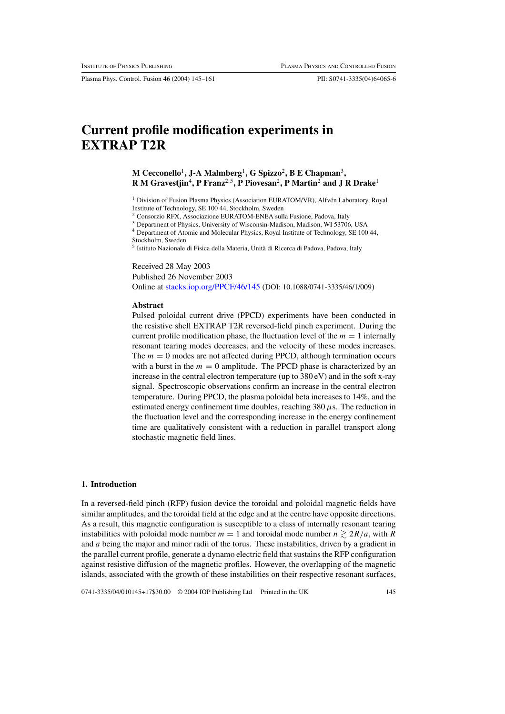Plasma Phys. Control. Fusion **46** (2004) 145–161 PII: S0741-3335(04)64065-6

# **Current profile modification experiments in EXTRAP T2R**

# **M Cecconello**1**, J-A Malmberg**1**, G Spizzo**2**, B E Chapman**3**, R M Gravestjin**4**, P Franz**2*,*5**, P Piovesan**2**, P Martin**<sup>2</sup> **and J R Drake**<sup>1</sup>

<sup>1</sup> Division of Fusion Plasma Physics (Association EURATOM/VR), Alfvén Laboratory, Royal Institute of Technology, SE 100 44, Stockholm, Sweden

<sup>2</sup> Consorzio RFX, Associazione EURATOM-ENEA sulla Fusione, Padova, Italy

<sup>3</sup> Department of Physics, University of Wisconsin-Madison, Madison, WI 53706, USA

<sup>4</sup> Department of Atomic and Molecular Physics, Royal Institute of Technology, SE 100 44, Stockholm, Sweden

<sup>5</sup> Istituto Nazionale di Fisica della Materia, Unita di Ricerca di Padova, Padova, Italy `

Received 28 May 2003

Published 26 November 2003

Online at [stacks.iop.org/PPCF/46/145](http://stacks.iop.org/pp/46/145) (DOI: 10.1088/0741-3335/46/1/009)

#### **Abstract**

Pulsed poloidal current drive (PPCD) experiments have been conducted in the resistive shell EXTRAP T2R reversed-field pinch experiment. During the current profile modification phase, the fluctuation level of the  $m = 1$  internally resonant tearing modes decreases, and the velocity of these modes increases. The  $m = 0$  modes are not affected during PPCD, although termination occurs with a burst in the  $m = 0$  amplitude. The PPCD phase is characterized by an increase in the central electron temperature (up to  $380 \text{ eV}$ ) and in the soft x-ray signal. Spectroscopic observations confirm an increase in the central electron temperature. During PPCD, the plasma poloidal beta increases to 14%, and the estimated energy confinement time doubles, reaching 380*µ*s. The reduction in the fluctuation level and the corresponding increase in the energy confinement time are qualitatively consistent with a reduction in parallel transport along stochastic magnetic field lines.

# **1. Introduction**

In a reversed-field pinch (RFP) fusion device the toroidal and poloidal magnetic fields have similar amplitudes, and the toroidal field at the edge and at the centre have opposite directions. As a result, this magnetic configuration is susceptible to a class of internally resonant tearing instabilities with poloidal mode number  $m = 1$  and toroidal mode number  $n \geq 2R/a$ , with R and *a* being the major and minor radii of the torus. These instabilities, driven by a gradient in the parallel current profile, generate a dynamo electric field that sustains the RFP configuration against resistive diffusion of the magnetic profiles. However, the overlapping of the magnetic islands, associated with the growth of these instabilities on their respective resonant surfaces,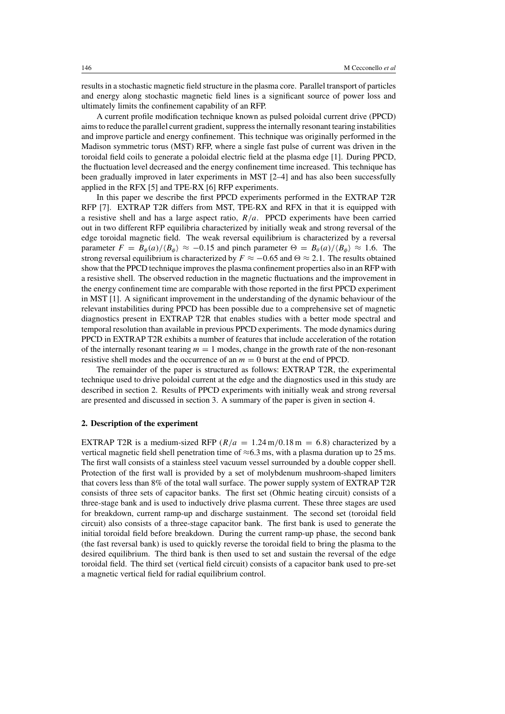results in a stochastic magnetic field structure in the plasma core. Parallel transport of particles and energy along stochastic magnetic field lines is a significant source of power loss and ultimately limits the confinement capability of an RFP.

A current profile modification technique known as pulsed poloidal current drive (PPCD) aims to reduce the parallel current gradient, suppress the internally resonant tearing instabilities and improve particle and energy confinement. This technique was originally performed in the Madison symmetric torus (MST) RFP, where a single fast pulse of current was driven in the toroidal field coils to generate a poloidal electric field at the plasma edge [1]. During PPCD, the fluctuation level decreased and the energy confinement time increased. This technique has been gradually improved in later experiments in MST [2–4] and has also been successfully applied in the RFX [5] and TPE-RX [6] RFP experiments.

In this paper we describe the first PPCD experiments performed in the EXTRAP T2R RFP [7]. EXTRAP T2R differs from MST, TPE-RX and RFX in that it is equipped with a resistive shell and has a large aspect ratio,  $R/a$ . PPCD experiments have been carried out in two different RFP equilibria characterized by initially weak and strong reversal of the edge toroidal magnetic field. The weak reversal equilibrium is characterized by a reversal parameter  $F = B_{\phi}(a)/\langle B_{\phi} \rangle \approx -0.15$  and pinch parameter  $\Theta = B_{\theta}(a)/\langle B_{\phi} \rangle \approx 1.6$ . The strong reversal equilibrium is characterized by  $F \approx -0.65$  and  $\Theta \approx 2.1$ . The results obtained show that the PPCD technique improves the plasma confinement properties also in an RFP with a resistive shell. The observed reduction in the magnetic fluctuations and the improvement in the energy confinement time are comparable with those reported in the first PPCD experiment in MST [1]. A significant improvement in the understanding of the dynamic behaviour of the relevant instabilities during PPCD has been possible due to a comprehensive set of magnetic diagnostics present in EXTRAP T2R that enables studies with a better mode spectral and temporal resolution than available in previous PPCD experiments. The mode dynamics during PPCD in EXTRAP T2R exhibits a number of features that include acceleration of the rotation of the internally resonant tearing  $m = 1$  modes, change in the growth rate of the non-resonant resistive shell modes and the occurrence of an  $m = 0$  burst at the end of PPCD.

The remainder of the paper is structured as follows: EXTRAP T2R, the experimental technique used to drive poloidal current at the edge and the diagnostics used in this study are described in section 2. Results of PPCD experiments with initially weak and strong reversal are presented and discussed in section 3. A summary of the paper is given in section 4.

#### **2. Description of the experiment**

EXTRAP T2R is a medium-sized RFP ( $R/a = 1.24$  m/0.18 m = 6.8) characterized by a vertical magnetic field shell penetration time of  $\approx 6.3$  ms, with a plasma duration up to 25 ms. The first wall consists of a stainless steel vacuum vessel surrounded by a double copper shell. Protection of the first wall is provided by a set of molybdenum mushroom-shaped limiters that covers less than 8% of the total wall surface. The power supply system of EXTRAP T2R consists of three sets of capacitor banks. The first set (Ohmic heating circuit) consists of a three-stage bank and is used to inductively drive plasma current. These three stages are used for breakdown, current ramp-up and discharge sustainment. The second set (toroidal field circuit) also consists of a three-stage capacitor bank. The first bank is used to generate the initial toroidal field before breakdown. During the current ramp-up phase, the second bank (the fast reversal bank) is used to quickly reverse the toroidal field to bring the plasma to the desired equilibrium. The third bank is then used to set and sustain the reversal of the edge toroidal field. The third set (vertical field circuit) consists of a capacitor bank used to pre-set a magnetic vertical field for radial equilibrium control.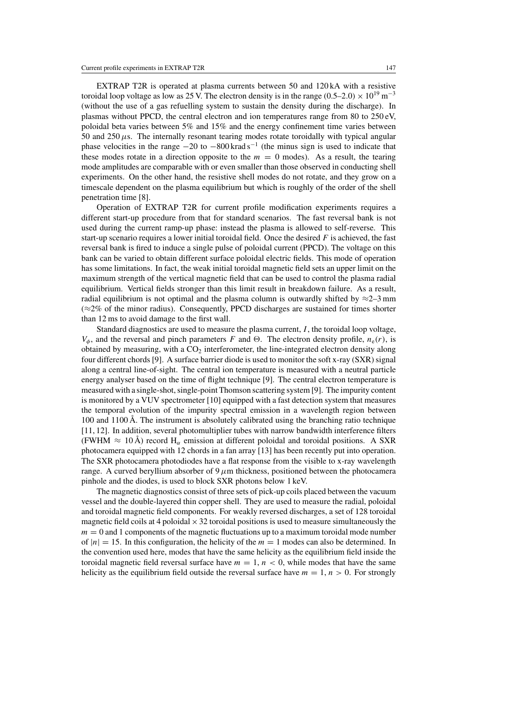EXTRAP T2R is operated at plasma currents between 50 and 120 kA with a resistive toroidal loop voltage as low as 25 V. The electron density is in the range  $(0.5–2.0) \times 10^{19}$  m<sup>-3</sup> (without the use of a gas refuelling system to sustain the density during the discharge). In plasmas without PPCD, the central electron and ion temperatures range from 80 to 250 eV, poloidal beta varies between 5% and 15% and the energy confinement time varies between 50 and  $250 \mu s$ . The internally resonant tearing modes rotate toroidally with typical angular phase velocities in the range  $-20$  to  $-800$  krad s<sup>-1</sup> (the minus sign is used to indicate that these modes rotate in a direction opposite to the  $m = 0$  modes). As a result, the tearing mode amplitudes are comparable with or even smaller than those observed in conducting shell experiments. On the other hand, the resistive shell modes do not rotate, and they grow on a timescale dependent on the plasma equilibrium but which is roughly of the order of the shell penetration time [8].

Operation of EXTRAP T2R for current profile modification experiments requires a different start-up procedure from that for standard scenarios. The fast reversal bank is not used during the current ramp-up phase: instead the plasma is allowed to self-reverse. This start-up scenario requires a lower initial toroidal field. Once the desired  $F$  is achieved, the fast reversal bank is fired to induce a single pulse of poloidal current (PPCD). The voltage on this bank can be varied to obtain different surface poloidal electric fields. This mode of operation has some limitations. In fact, the weak initial toroidal magnetic field sets an upper limit on the maximum strength of the vertical magnetic field that can be used to control the plasma radial equilibrium. Vertical fields stronger than this limit result in breakdown failure. As a result, radial equilibrium is not optimal and the plasma column is outwardly shifted by  $\approx$ 2–3 mm  $(\approx 2\%$  of the minor radius). Consequently, PPCD discharges are sustained for times shorter than 12 ms to avoid damage to the first wall.

Standard diagnostics are used to measure the plasma current,  $I$ , the toroidal loop voltage,  $V_{\phi}$ , and the reversal and pinch parameters F and  $\Theta$ . The electron density profile,  $n_e(r)$ , is obtained by measuring, with a  $CO<sub>2</sub>$  interferometer, the line-integrated electron density along four different chords [9]. A surface barrier diode is used to monitor the soft x-ray (SXR) signal along a central line-of-sight. The central ion temperature is measured with a neutral particle energy analyser based on the time of flight technique [9]. The central electron temperature is measured with a single-shot, single-point Thomson scattering system [9]. The impurity content is monitored by a VUV spectrometer [10] equipped with a fast detection system that measures the temporal evolution of the impurity spectral emission in a wavelength region between 100 and 1100 Å. The instrument is absolutely calibrated using the branching ratio technique [11, 12]. In addition, several photomultiplier tubes with narrow bandwidth interference filters (FWHM  $\approx 10 \text{ Å}$ ) record H<sub>α</sub> emission at different poloidal and toroidal positions. A SXR photocamera equipped with 12 chords in a fan array [13] has been recently put into operation. The SXR photocamera photodiodes have a flat response from the visible to x-ray wavelength range. A curved beryllium absorber of 9  $\mu$ m thickness, positioned between the photocamera pinhole and the diodes, is used to block SXR photons below 1 keV.

The magnetic diagnostics consist of three sets of pick-up coils placed between the vacuum vessel and the double-layered thin copper shell. They are used to measure the radial, poloidal and toroidal magnetic field components. For weakly reversed discharges, a set of 128 toroidal magnetic field coils at 4 poloidal  $\times$  32 toroidal positions is used to measure simultaneously the  $m = 0$  and 1 components of the magnetic fluctuations up to a maximum toroidal mode number of  $|n| = 15$ . In this configuration, the helicity of the  $m = 1$  modes can also be determined. In the convention used here, modes that have the same helicity as the equilibrium field inside the toroidal magnetic field reversal surface have  $m = 1$ ,  $n < 0$ , while modes that have the same helicity as the equilibrium field outside the reversal surface have  $m = 1, n > 0$ . For strongly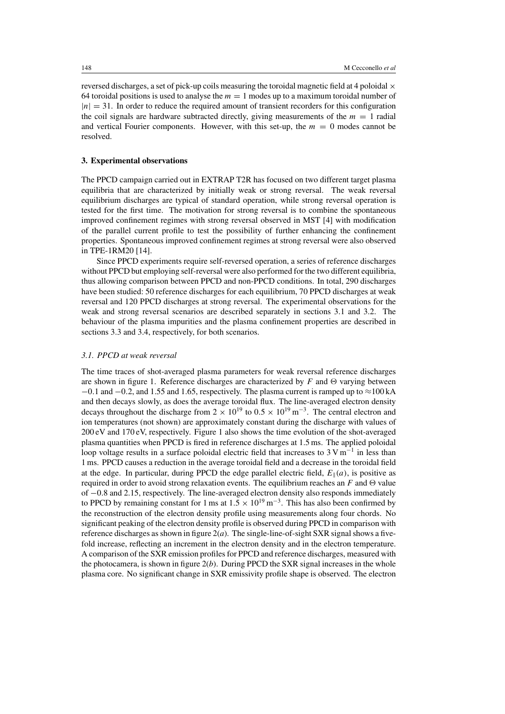reversed discharges, a set of pick-up coils measuring the toroidal magnetic field at 4 poloidal  $\times$ 64 toroidal positions is used to analyse the  $m = 1$  modes up to a maximum toroidal number of  $|n| = 31$ . In order to reduce the required amount of transient recorders for this configuration the coil signals are hardware subtracted directly, giving measurements of the  $m = 1$  radial and vertical Fourier components. However, with this set-up, the  $m = 0$  modes cannot be resolved.

## **3. Experimental observations**

The PPCD campaign carried out in EXTRAP T2R has focused on two different target plasma equilibria that are characterized by initially weak or strong reversal. The weak reversal equilibrium discharges are typical of standard operation, while strong reversal operation is tested for the first time. The motivation for strong reversal is to combine the spontaneous improved confinement regimes with strong reversal observed in MST [4] with modification of the parallel current profile to test the possibility of further enhancing the confinement properties. Spontaneous improved confinement regimes at strong reversal were also observed in TPE-1RM20 [14].

Since PPCD experiments require self-reversed operation, a series of reference discharges without PPCD but employing self-reversal were also performed for the two different equilibria, thus allowing comparison between PPCD and non-PPCD conditions. In total, 290 discharges have been studied: 50 reference discharges for each equilibrium, 70 PPCD discharges at weak reversal and 120 PPCD discharges at strong reversal. The experimental observations for the weak and strong reversal scenarios are described separately in sections 3.1 and 3.2. The behaviour of the plasma impurities and the plasma confinement properties are described in sections 3.3 and 3.4, respectively, for both scenarios.

#### *3.1. PPCD at weak reversal*

The time traces of shot-averaged plasma parameters for weak reversal reference discharges are shown in figure 1. Reference discharges are characterized by F and  $\Theta$  varying between  $-0.1$  and  $-0.2$ , and 1.55 and 1.65, respectively. The plasma current is ramped up to  $\approx$ 100 kA and then decays slowly, as does the average toroidal flux. The line-averaged electron density decays throughout the discharge from  $2 \times 10^{19}$  to  $0.5 \times 10^{19}$  m<sup>-3</sup>. The central electron and ion temperatures (not shown) are approximately constant during the discharge with values of 200 eV and 170 eV, respectively. Figure 1 also shows the time evolution of the shot-averaged plasma quantities when PPCD is fired in reference discharges at 1.5 ms. The applied poloidal loop voltage results in a surface poloidal electric field that increases to  $3 \text{ V m}^{-1}$  in less than 1 ms. PPCD causes a reduction in the average toroidal field and a decrease in the toroidal field at the edge. In particular, during PPCD the edge parallel electric field,  $E_{\parallel}(a)$ , is positive as required in order to avoid strong relaxation events. The equilibrium reaches an F and  $\Theta$  value of −0.8 and 2.15, respectively. The line-averaged electron density also responds immediately to PPCD by remaining constant for 1 ms at  $1.5 \times 10^{19}$  m<sup>-3</sup>. This has also been confirmed by the reconstruction of the electron density profile using measurements along four chords. No significant peaking of the electron density profile is observed during PPCD in comparison with reference discharges as shown in figure  $2(a)$ . The single-line-of-sight SXR signal shows a fivefold increase, reflecting an increment in the electron density and in the electron temperature. A comparison of the SXR emission profiles for PPCD and reference discharges, measured with the photocamera, is shown in figure  $2(b)$ . During PPCD the SXR signal increases in the whole plasma core. No significant change in SXR emissivity profile shape is observed. The electron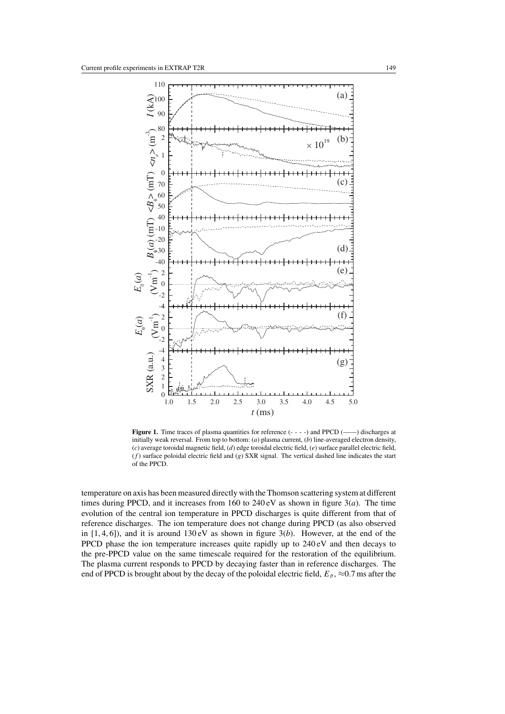

Figure 1. Time traces of plasma quantities for reference  $(- - -)$  and PPCD  $(\_\_)$  discharges at initially weak reversal. From top to bottom: (*a*) plasma current, (*b*) line-averaged electron density, (*c*) average toroidal magnetic field, (*d*) edge toroidal electric field, (*e*) surface parallel electric field,  $(f)$  surface poloidal electric field and  $(g)$  SXR signal. The vertical dashed line indicates the start of the PPCD.

temperature on axis has been measured directly with the Thomson scattering system at different times during PPCD, and it increases from 160 to 240 eV as shown in figure 3(*a*). The time evolution of the central ion temperature in PPCD discharges is quite different from that of reference discharges. The ion temperature does not change during PPCD (as also observed in  $[1, 4, 6]$ ), and it is around  $130 \text{ eV}$  as shown in figure  $3(b)$ . However, at the end of the PPCD phase the ion temperature increases quite rapidly up to 240 eV and then decays to the pre-PPCD value on the same timescale required for the restoration of the equilibrium. The plasma current responds to PPCD by decaying faster than in reference discharges. The end of PPCD is brought about by the decay of the poloidal electric field,  $E_{\vartheta$ ,  $\approx$ 0.7 ms after the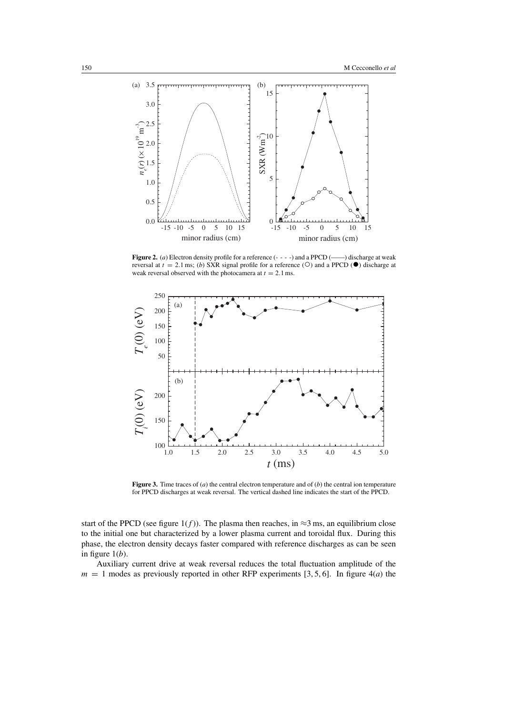

**Figure 2.** (*a*) Electron density profile for a reference (- - - -) and a PPCD (-) discharge at weak reversal at  $t = 2.1$  ms; (*b*) SXR signal profile for a reference ( $\circ$ ) and a PPCD ( $\bullet$ ) discharge at weak reversal observed with the photocamera at  $t = 2.1$  ms.



**Figure 3.** Time traces of (*a*) the central electron temperature and of (*b*) the central ion temperature for PPCD discharges at weak reversal. The vertical dashed line indicates the start of the PPCD.

start of the PPCD (see figure 1( $f$ )). The plasma then reaches, in ≈3 ms, an equilibrium close to the initial one but characterized by a lower plasma current and toroidal flux. During this phase, the electron density decays faster compared with reference discharges as can be seen in figure  $1(b)$ .

Auxiliary current drive at weak reversal reduces the total fluctuation amplitude of the  $m = 1$  modes as previously reported in other RFP experiments [3, 5, 6]. In figure 4(*a*) the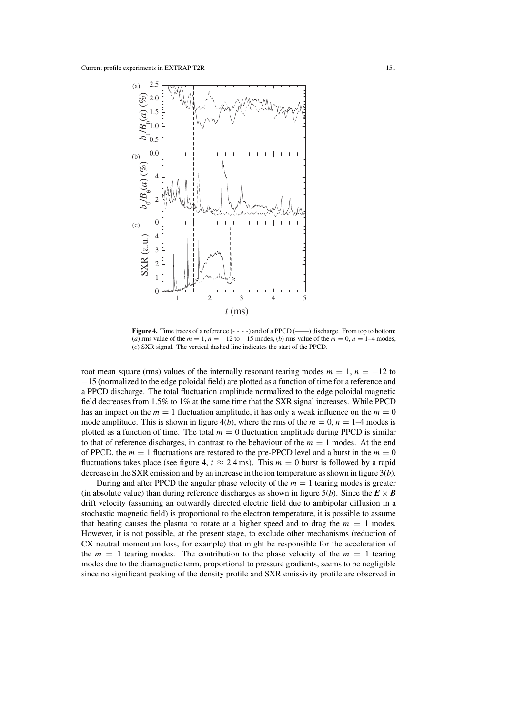

**Figure 4.** Time traces of a reference (- - - -) and of a PPCD (-) discharge. From top to bottom: (*a*) rms value of the  $m = 1$ ,  $n = -12$  to  $-15$  modes, (*b*) rms value of the  $m = 0$ ,  $n = 1-4$  modes, (*c*) SXR signal. The vertical dashed line indicates the start of the PPCD.

root mean square (rms) values of the internally resonant tearing modes  $m = 1$ ,  $n = -12$  to −15 (normalized to the edge poloidal field) are plotted as a function of time for a reference and a PPCD discharge. The total fluctuation amplitude normalized to the edge poloidal magnetic field decreases from 1.5% to 1% at the same time that the SXR signal increases. While PPCD has an impact on the  $m = 1$  fluctuation amplitude, it has only a weak influence on the  $m = 0$ mode amplitude. This is shown in figure  $4(b)$ , where the rms of the  $m = 0$ ,  $n = 1-4$  modes is plotted as a function of time. The total  $m = 0$  fluctuation amplitude during PPCD is similar to that of reference discharges, in contrast to the behaviour of the  $m = 1$  modes. At the end of PPCD, the  $m = 1$  fluctuations are restored to the pre-PPCD level and a burst in the  $m = 0$ fluctuations takes place (see figure 4,  $t \approx 2.4$  ms). This  $m = 0$  burst is followed by a rapid decrease in the SXR emission and by an increase in the ion temperature as shown in figure 3(*b*).

During and after PPCD the angular phase velocity of the  $m = 1$  tearing modes is greater (in absolute value) than during reference discharges as shown in figure  $5(b)$ . Since the  $E \times B$ drift velocity (assuming an outwardly directed electric field due to ambipolar diffusion in a stochastic magnetic field) is proportional to the electron temperature, it is possible to assume that heating causes the plasma to rotate at a higher speed and to drag the  $m = 1$  modes. However, it is not possible, at the present stage, to exclude other mechanisms (reduction of CX neutral momentum loss, for example) that might be responsible for the acceleration of the  $m = 1$  tearing modes. The contribution to the phase velocity of the  $m = 1$  tearing modes due to the diamagnetic term, proportional to pressure gradients, seems to be negligible since no significant peaking of the density profile and SXR emissivity profile are observed in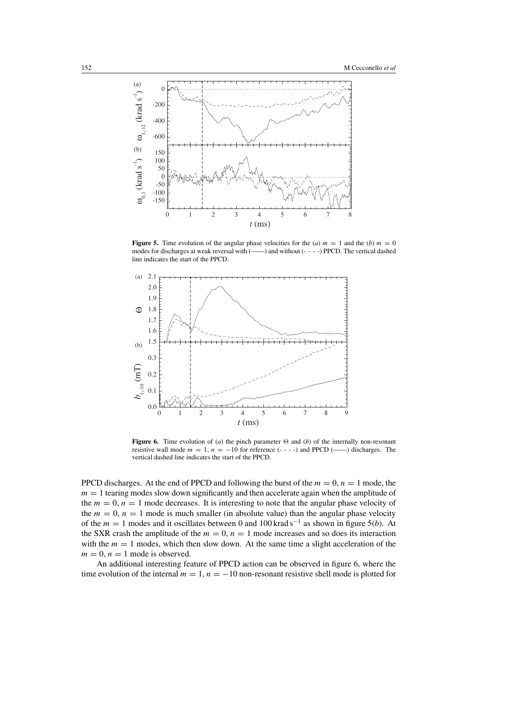

**Figure 5.** Time evolution of the angular phase velocities for the (*a*)  $m = 1$  and the (*b*)  $m = 0$ modes for discharges at weak reversal with (——) and without (- - - -) PPCD. The vertical dashed line indicates the start of the PPCD.



**Figure 6.** Time evolution of (*a*) the pinch parameter  $\Theta$  and (*b*) of the internally non-resonant resistive wall mode m = 1, n = −10 for reference (- - - -) and PPCD (——) discharges. The vertical dashed line indicates the start of the PPCD.

PPCD discharges. At the end of PPCD and following the burst of the  $m = 0$ ,  $n = 1$  mode, the  $m = 1$  tearing modes slow down significantly and then accelerate again when the amplitude of the  $m = 0$ ,  $n = 1$  mode decreases. It is interesting to note that the angular phase velocity of the  $m = 0$ ,  $n = 1$  mode is much smaller (in absolute value) than the angular phase velocity of the <sup>m</sup> <sup>=</sup> 1 modes and it oscillates between 0 and 100 krad s−<sup>1</sup> as shown in figure 5(*b*). At the SXR crash the amplitude of the  $m = 0$ ,  $n = 1$  mode increases and so does its interaction with the  $m = 1$  modes, which then slow down. At the same time a slight acceleration of the  $m = 0$ ,  $n = 1$  mode is observed.

An additional interesting feature of PPCD action can be observed in figure 6, where the time evolution of the internal  $m = 1$ ,  $n = -10$  non-resonant resistive shell mode is plotted for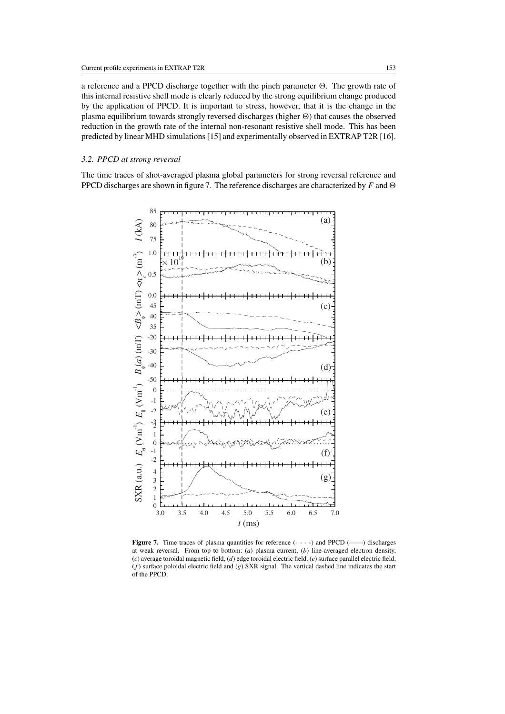a reference and a PPCD discharge together with the pinch parameter  $\Theta$ . The growth rate of this internal resistive shell mode is clearly reduced by the strong equilibrium change produced by the application of PPCD. It is important to stress, however, that it is the change in the plasma equilibrium towards strongly reversed discharges (higher  $\Theta$ ) that causes the observed reduction in the growth rate of the internal non-resonant resistive shell mode. This has been predicted by linear MHD simulations [15] and experimentally observed in EXTRAP T2R [16].

## *3.2. PPCD at strong reversal*

The time traces of shot-averaged plasma global parameters for strong reversal reference and PPCD discharges are shown in figure 7. The reference discharges are characterized by F and  $\Theta$ 



**Figure 7.** Time traces of plasma quantities for reference (- - - -) and PPCD (——) discharges at weak reversal. From top to bottom: (*a*) plasma current, (*b*) line-averaged electron density, (*c*) average toroidal magnetic field, (*d*) edge toroidal electric field, (*e*) surface parallel electric field, (*f*) surface poloidal electric field and (*g*) SXR signal. The vertical dashed line indicates the start of the PPCD.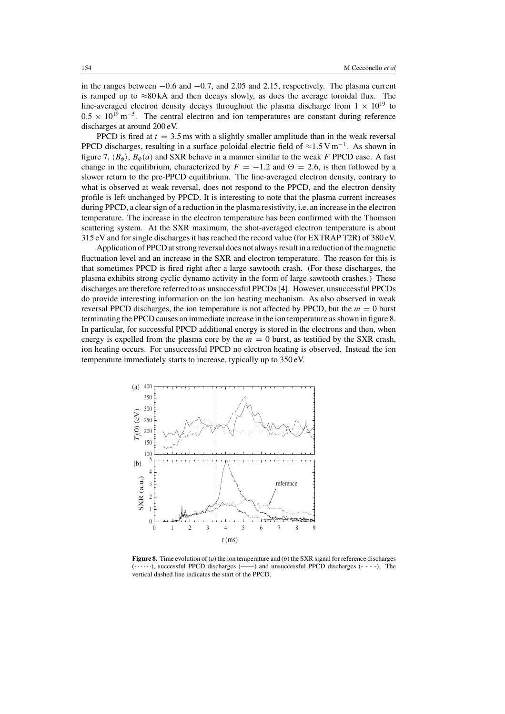in the ranges between −0.6 and −0.7, and 2.05 and 2.15, respectively. The plasma current is ramped up to  $\approx 80$  kA and then decays slowly, as does the average toroidal flux. The line-averaged electron density decays throughout the plasma discharge from  $1 \times 10^{19}$  to  $0.5 \times 10^{19}$  m<sup>-3</sup>. The central electron and ion temperatures are constant during reference discharges at around 200 eV.

PPCD is fired at  $t = 3.5$  ms with a slightly smaller amplitude than in the weak reversal PPCD discharges, resulting in a surface poloidal electric field of  $\approx$ 1.5 Vm<sup>-1</sup>. As shown in figure 7,  $\langle B_{\phi} \rangle$ ,  $B_{\phi}(a)$  and SXR behave in a manner similar to the weak F PPCD case. A fast change in the equilibrium, characterized by  $F = -1.2$  and  $\Theta = 2.6$ , is then followed by a slower return to the pre-PPCD equilibrium. The line-averaged electron density, contrary to what is observed at weak reversal, does not respond to the PPCD, and the electron density profile is left unchanged by PPCD. It is interesting to note that the plasma current increases during PPCD, a clear sign of a reduction in the plasma resistivity, i.e. an increase in the electron temperature. The increase in the electron temperature has been confirmed with the Thomson scattering system. At the SXR maximum, the shot-averaged electron temperature is about 315 eV and for single discharges it has reached the record value (for EXTRAP T2R) of 380 eV.

Application of PPCD at strong reversal does not always result in a reduction of the magnetic fluctuation level and an increase in the SXR and electron temperature. The reason for this is that sometimes PPCD is fired right after a large sawtooth crash. (For these discharges, the plasma exhibits strong cyclic dynamo activity in the form of large sawtooth crashes.) These discharges are therefore referred to as unsuccessful PPCDs [4]. However, unsuccessful PPCDs do provide interesting information on the ion heating mechanism. As also observed in weak reversal PPCD discharges, the ion temperature is not affected by PPCD, but the  $m = 0$  burst terminating the PPCD causes an immediate increase in the ion temperature as shown in figure 8. In particular, for successful PPCD additional energy is stored in the electrons and then, when energy is expelled from the plasma core by the  $m = 0$  burst, as testified by the SXR crash, ion heating occurs. For unsuccessful PPCD no electron heating is observed. Instead the ion temperature immediately starts to increase, typically up to 350 eV.



**Figure 8.** Time evolution of (*a*) the ion temperature and (*b*) the SXR signal for reference discharges  $(\cdots)$ , successful PPCD discharges  $(\cdots)$  and unsuccessful PPCD discharges  $(- - -)$ . The vertical dashed line indicates the start of the PPCD.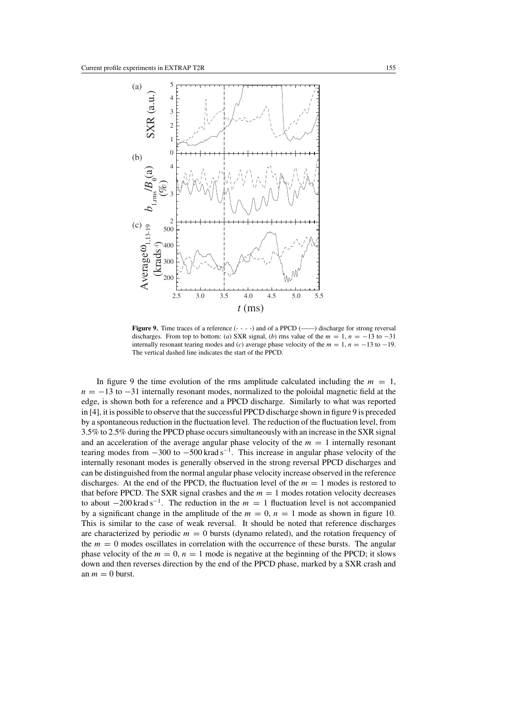

Figure 9. Time traces of a reference (- - - -) and of a PPCD (-) discharge for strong reversal discharges. From top to bottom: (*a*) SXR signal, (*b*) rms value of the  $m = 1$ ,  $n = -13$  to  $-31$ internally resonant tearing modes and (*c*) average phase velocity of the  $m = 1$ ,  $n = -13$  to  $-19$ . The vertical dashed line indicates the start of the PPCD.

In figure 9 the time evolution of the rms amplitude calculated including the  $m = 1$ ,  $n = -13$  to  $-31$  internally resonant modes, normalized to the poloidal magnetic field at the edge, is shown both for a reference and a PPCD discharge. Similarly to what was reported in [4], it is possible to observe that the successful PPCD discharge shown in figure 9 is preceded by a spontaneous reduction in the fluctuation level. The reduction of the fluctuation level, from 3.5% to 2.5% during the PPCD phase occurs simultaneously with an increase in the SXR signal and an acceleration of the average angular phase velocity of the  $m = 1$  internally resonant tearing modes from  $-300$  to  $-500$  krad s<sup>-1</sup>. This increase in angular phase velocity of the internally resonant modes is generally observed in the strong reversal PPCD discharges and can be distinguished from the normal angular phase velocity increase observed in the reference discharges. At the end of the PPCD, the fluctuation level of the  $m = 1$  modes is restored to that before PPCD. The SXR signal crashes and the  $m = 1$  modes rotation velocity decreases to about  $-200$  krad s<sup>-1</sup>. The reduction in the  $m = 1$  fluctuation level is not accompanied by a significant change in the amplitude of the  $m = 0$ ,  $n = 1$  mode as shown in figure 10. This is similar to the case of weak reversal. It should be noted that reference discharges are characterized by periodic  $m = 0$  bursts (dynamo related), and the rotation frequency of the  $m = 0$  modes oscillates in correlation with the occurrence of these bursts. The angular phase velocity of the  $m = 0$ ,  $n = 1$  mode is negative at the beginning of the PPCD; it slows down and then reverses direction by the end of the PPCD phase, marked by a SXR crash and an  $m = 0$  burst.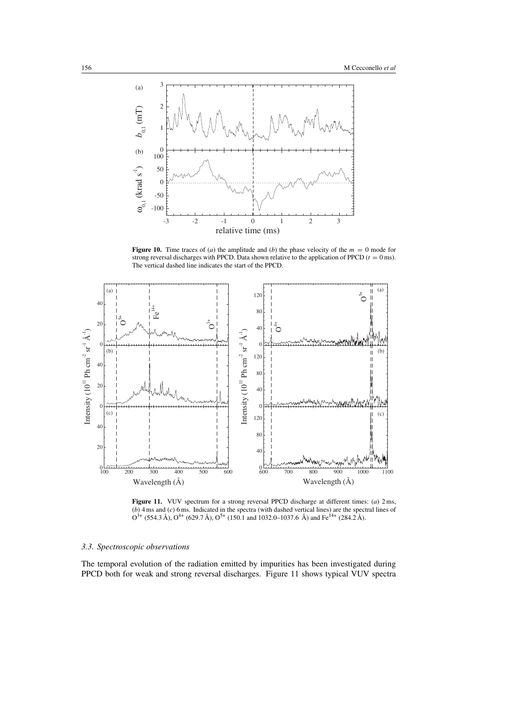

**Figure 10.** Time traces of (*a*) the amplitude and (*b*) the phase velocity of the  $m = 0$  mode for strong reversal discharges with PPCD. Data shown relative to the application of PPCD ( $t = 0$  ms). The vertical dashed line indicates the start of the PPCD.



**Figure 11.** VUV spectrum for a strong reversal PPCD discharge at different times: (*a*) 2 ms, (*b*) 4 ms and (*c*) 6 ms. Indicated in the spectra (with dashed vertical lines) are the spectral lines of  $O^{3+}$  (554.3 Å),  $O^{4+}$  (629.7 Å),  $O^{5+}$  (150.1 and 1032.0–1037.6 Å) and Fe<sup>14+</sup> (284.2 Å).

#### *3.3. Spectroscopic observations*

The temporal evolution of the radiation emitted by impurities has been investigated during PPCD both for weak and strong reversal discharges. Figure 11 shows typical VUV spectra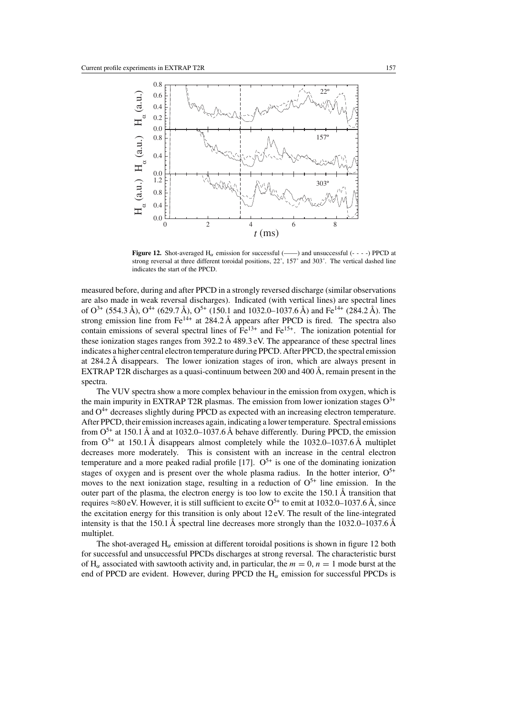

**Figure 12.** Shot-averaged  $H_{\alpha}$  emission for successful (----) and unsuccessful (----) PPCD at strong reversal at three different toroidal positions, 22˚, 157˚ and 303˚. The vertical dashed line indicates the start of the PPCD.

measured before, during and after PPCD in a strongly reversed discharge (similar observations are also made in weak reversal discharges). Indicated (with vertical lines) are spectral lines of  $O^{3+}$  (554.3 Å),  $O^{4+}$  (629.7 Å),  $O^{5+}$  (150.1 and 1032.0–1037.6 Å) and Fe<sup>14+</sup> (284.2 Å). The strong emission line from  $Fe^{14+}$  at 284.2 Å appears after PPCD is fired. The spectra also contain emissions of several spectral lines of  $Fe^{13+}$  and  $Fe^{15+}$ . The ionization potential for these ionization stages ranges from 392.2 to 489.3 eV. The appearance of these spectral lines indicates a higher central electron temperature during PPCD. After PPCD, the spectral emission at 284.2 Å disappears. The lower ionization stages of iron, which are always present in EXTRAP T2R discharges as a quasi-continuum between 200 and 400  $\AA$ , remain present in the spectra.

The VUV spectra show a more complex behaviour in the emission from oxygen, which is the main impurity in EXTRAP T2R plasmas. The emission from lower ionization stages  $O^{3+}$ and  $O<sup>4+</sup>$  decreases slightly during PPCD as expected with an increasing electron temperature. After PPCD, their emission increases again, indicating a lower temperature. Spectral emissions from  $O<sup>5+</sup>$  at 150.1 Å and at 1032.0–1037.6 Å behave differently. During PPCD, the emission from  $O<sup>5+</sup>$  at 150.1 Å disappears almost completely while the 1032.0–1037.6 Å multiplet decreases more moderately. This is consistent with an increase in the central electron temperature and a more peaked radial profile [17].  $O<sup>5+</sup>$  is one of the dominating ionization stages of oxygen and is present over the whole plasma radius. In the hotter interior,  $O^{5+}$ moves to the next ionization stage, resulting in a reduction of  $O<sup>5+</sup>$  line emission. In the outer part of the plasma, the electron energy is too low to excite the 150.1 Å transition that requires ≈80 eV. However, it is still sufficient to excite  $O^{5+}$  to emit at 1032.0–1037.6 Å, since the excitation energy for this transition is only about 12 eV. The result of the line-integrated intensity is that the 150.1 Å spectral line decreases more strongly than the 1032.0–1037.6 Å multiplet.

The shot-averaged  $H_{\alpha}$  emission at different toroidal positions is shown in figure 12 both for successful and unsuccessful PPCDs discharges at strong reversal. The characteristic burst of H<sub>α</sub> associated with sawtooth activity and, in particular, the  $m = 0$ ,  $n = 1$  mode burst at the end of PPCD are evident. However, during PPCD the  $H_{\alpha}$  emission for successful PPCDs is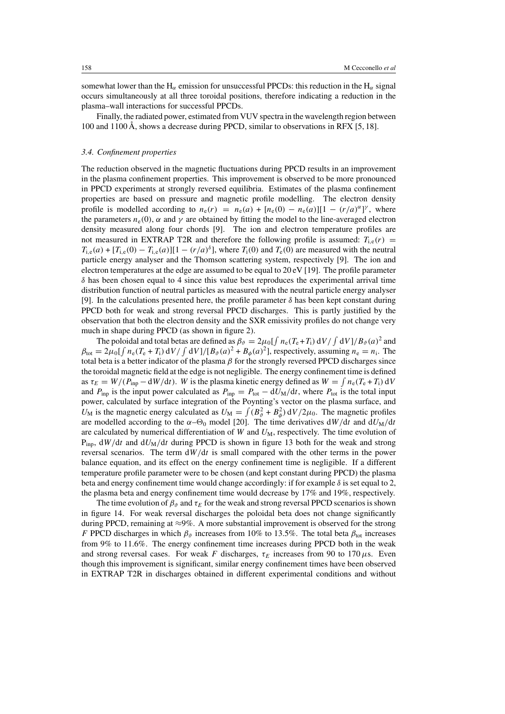somewhat lower than the H<sub>α</sub> emission for unsuccessful PPCDs: this reduction in the H<sub>α</sub> signal occurs simultaneously at all three toroidal positions, therefore indicating a reduction in the plasma–wall interactions for successful PPCDs.

Finally, the radiated power, estimated from VUV spectra in the wavelength region between 100 and 1100 Å, shows a decrease during PPCD, similar to observations in RFX [5, 18].

# *3.4. Confinement properties*

The reduction observed in the magnetic fluctuations during PPCD results in an improvement in the plasma confinement properties. This improvement is observed to be more pronounced in PPCD experiments at strongly reversed equilibria. Estimates of the plasma confinement properties are based on pressure and magnetic profile modelling. The electron density profile is modelled according to  $n_e(r) = n_e(a) + [n_e(0) - n_e(a)][1 - (r/a)^{\alpha}]^{\gamma}$ , where the parameters  $n_e(0)$ ,  $\alpha$  and  $\gamma$  are obtained by fitting the model to the line-averaged electron density measured along four chords [9]. The ion and electron temperature profiles are not measured in EXTRAP T2R and therefore the following profile is assumed:  $T_{i,e}(r)$  =  $T_{i,e}(a) + [T_{i,e}(0) - T_{i,e}(a)][1 - (r/a)^{\delta}]$ , where  $T_i(0)$  and  $T_e(0)$  are measured with the neutral particle energy analyser and the Thomson scattering system, respectively [9]. The ion and electron temperatures at the edge are assumed to be equal to  $20 \text{ eV}$  [19]. The profile parameter  $\delta$  has been chosen equal to 4 since this value best reproduces the experimental arrival time distribution function of neutral particles as measured with the neutral particle energy analyser [9]. In the calculations presented here, the profile parameter  $\delta$  has been kept constant during PPCD both for weak and strong reversal PPCD discharges. This is partly justified by the observation that both the electron density and the SXR emissivity profiles do not change very much in shape during PPCD (as shown in figure 2).

The poloidal and total betas are defined as  $\beta_{\hat{v}} = 2\mu_0 \left[ \int n_e(T_e + T_i) dV / \int dV \right] / B_{\hat{v}}(a)^2$  and  $\beta_{\text{tot}} = 2\mu_0 \left[ \int n_e(T_e + T_i) \, dV / \int dV \right] / [B_\vartheta(a)^2 + B_\phi(a)^2]$ , respectively, assuming  $n_e = n_i$ . The total beta is a better indicator of the plasma  $\beta$  for the strongly reversed PPCD discharges since the toroidal magnetic field at the edge is not negligible. The energy confinement time is defined as  $\tau_E = W/(P_{\text{inp}} - dW/dt)$ . W is the plasma kinetic energy defined as  $W = \int n_e(T_e + T_i) dV$ and P<sub>inp</sub> is the input power calculated as  $P_{\text{inp}} = P_{\text{tot}} - dU_M/dt$ , where P<sub>tot</sub> is the total input power, calculated by surface integration of the Poynting's vector on the plasma surface, and  $U_M$  is the magnetic energy calculated as  $U_M = \int (B_\theta^2 + B_\phi^2) dV / 2\mu_0$ . The magnetic profiles are modelled according to the  $\alpha$ - $\Theta$ <sub>0</sub> model [20]. The time derivatives  $dW/dt$  and  $dU_M/dt$ are calculated by numerical differentiation of  $W$  and  $U_M$ , respectively. The time evolution of  $P_{\text{inn}}$ ,  $dW/dt$  and  $dU_M/dt$  during PPCD is shown in figure 13 both for the weak and strong reversal scenarios. The term  $dW/dt$  is small compared with the other terms in the power balance equation, and its effect on the energy confinement time is negligible. If a different temperature profile parameter were to be chosen (and kept constant during PPCD) the plasma beta and energy confinement time would change accordingly: if for example  $\delta$  is set equal to 2, the plasma beta and energy confinement time would decrease by 17% and 19%, respectively.

The time evolution of  $\beta_{\theta}$  and  $\tau_E$  for the weak and strong reversal PPCD scenarios is shown in figure 14. For weak reversal discharges the poloidal beta does not change significantly during PPCD, remaining at ≈9%. A more substantial improvement is observed for the strong F PPCD discharges in which  $\beta_{\vartheta}$  increases from 10% to 13.5%. The total beta  $\beta_{\text{tot}}$  increases from 9% to 11.6%. The energy confinement time increases during PPCD both in the weak and strong reversal cases. For weak F discharges,  $\tau_F$  increases from 90 to 170  $\mu$ s. Even though this improvement is significant, similar energy confinement times have been observed in EXTRAP T2R in discharges obtained in different experimental conditions and without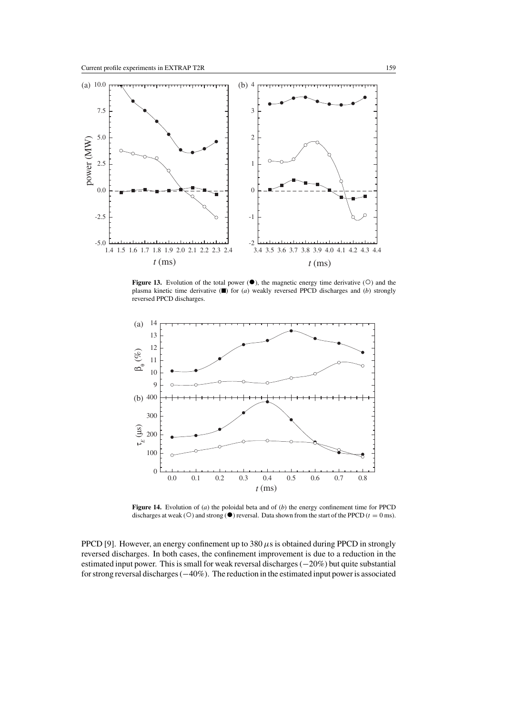

Figure 13. Evolution of the total power  $(①)$ , the magnetic energy time derivative  $(①)$  and the plasma kinetic time derivative ( $\blacksquare$ ) for (*a*) weakly reversed PPCD discharges and (*b*) strongly reversed PPCD discharges.



**Figure 14.** Evolution of (*a*) the poloidal beta and of (*b*) the energy confinement time for PPCD discharges at weak (○) and strong (●) reversal. Data shown from the start of the PPCD ( $t = 0$  ms).

PPCD [9]. However, an energy confinement up to  $380 \,\mu s$  is obtained during PPCD in strongly reversed discharges. In both cases, the confinement improvement is due to a reduction in the estimated input power. This is small for weak reversal discharges (−20%) but quite substantial for strong reversal discharges (−40%). The reduction in the estimated input power is associated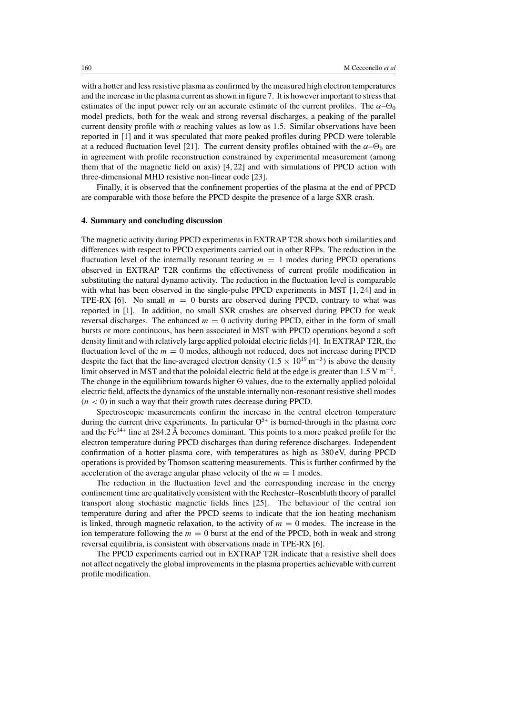with a hotter and less resistive plasma as confirmed by the measured high electron temperatures and the increase in the plasma current as shown in figure 7. It is however important to stress that estimates of the input power rely on an accurate estimate of the current profiles. The  $\alpha$ - $\Theta$ <sub>0</sub> model predicts, both for the weak and strong reversal discharges, a peaking of the parallel current density profile with  $\alpha$  reaching values as low as 1.5. Similar observations have been reported in [1] and it was speculated that more peaked profiles during PPCD were tolerable at a reduced fluctuation level [21]. The current density profiles obtained with the  $\alpha$ - $\Theta$ <sub>0</sub> are in agreement with profile reconstruction constrained by experimental measurement (among them that of the magnetic field on axis) [4, 22] and with simulations of PPCD action with three-dimensional MHD resistive non-linear code [23].

Finally, it is observed that the confinement properties of the plasma at the end of PPCD are comparable with those before the PPCD despite the presence of a large SXR crash.

#### **4. Summary and concluding discussion**

The magnetic activity during PPCD experiments in EXTRAP T2R shows both similarities and differences with respect to PPCD experiments carried out in other RFPs. The reduction in the fluctuation level of the internally resonant tearing  $m = 1$  modes during PPCD operations observed in EXTRAP T2R confirms the effectiveness of current profile modification in substituting the natural dynamo activity. The reduction in the fluctuation level is comparable with what has been observed in the single-pulse PPCD experiments in MST [1,24] and in TPE-RX [6]. No small  $m = 0$  bursts are observed during PPCD, contrary to what was reported in [1]. In addition, no small SXR crashes are observed during PPCD for weak reversal discharges. The enhanced  $m = 0$  activity during PPCD, either in the form of small bursts or more continuous, has been associated in MST with PPCD operations beyond a soft density limit and with relatively large applied poloidal electric fields [4]. In EXTRAP T2R, the fluctuation level of the  $m = 0$  modes, although not reduced, does not increase during PPCD despite the fact that the line-averaged electron density ( $1.5 \times 10^{19}$  m<sup>-3</sup>) is above the density limit observed in MST and that the poloidal electric field at the edge is greater than 1.5 V m<sup>-1</sup>. The change in the equilibrium towards higher  $\Theta$  values, due to the externally applied poloidal electric field, affects the dynamics of the unstable internally non-resonant resistive shell modes  $(n < 0)$  in such a way that their growth rates decrease during PPCD.

Spectroscopic measurements confirm the increase in the central electron temperature during the current drive experiments. In particular  $O<sup>5+</sup>$  is burned-through in the plasma core and the Fe<sup>14+</sup> line at 284.2 Å becomes dominant. This points to a more peaked profile for the electron temperature during PPCD discharges than during reference discharges. Independent confirmation of a hotter plasma core, with temperatures as high as 380 eV, during PPCD operations is provided by Thomson scattering measurements. This is further confirmed by the acceleration of the average angular phase velocity of the  $m = 1$  modes.

The reduction in the fluctuation level and the corresponding increase in the energy confinement time are qualitatively consistent with the Rechester–Rosenbluth theory of parallel transport along stochastic magnetic fields lines [25]. The behaviour of the central ion temperature during and after the PPCD seems to indicate that the ion heating mechanism is linked, through magnetic relaxation, to the activity of  $m = 0$  modes. The increase in the ion temperature following the  $m = 0$  burst at the end of the PPCD, both in weak and strong reversal equilibria, is consistent with observations made in TPE-RX [6].

The PPCD experiments carried out in EXTRAP T2R indicate that a resistive shell does not affect negatively the global improvements in the plasma properties achievable with current profile modification.